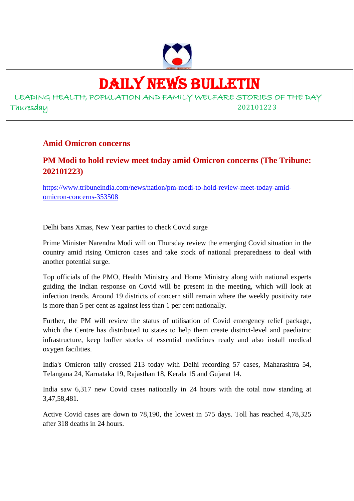

# DAILY NEWS BULLETIN

LEADING HEALTH, POPULATION AND FAMILY WELFARE STORIES OF THE DAY Thuresday 202101223

#### **Amid Omicron concerns**

### **PM Modi to hold review meet today amid Omicron concerns (The Tribune: 202101223)**

https://www.tribuneindia.com/news/nation/pm-modi-to-hold-review-meet-today-amidomicron-concerns-353508

Delhi bans Xmas, New Year parties to check Covid surge

Prime Minister Narendra Modi will on Thursday review the emerging Covid situation in the country amid rising Omicron cases and take stock of national preparedness to deal with another potential surge.

Top officials of the PMO, Health Ministry and Home Ministry along with national experts guiding the Indian response on Covid will be present in the meeting, which will look at infection trends. Around 19 districts of concern still remain where the weekly positivity rate is more than 5 per cent as against less than 1 per cent nationally.

Further, the PM will review the status of utilisation of Covid emergency relief package, which the Centre has distributed to states to help them create district-level and paediatric infrastructure, keep buffer stocks of essential medicines ready and also install medical oxygen facilities.

India's Omicron tally crossed 213 today with Delhi recording 57 cases, Maharashtra 54, Telangana 24, Karnataka 19, Rajasthan 18, Kerala 15 and Gujarat 14.

India saw 6,317 new Covid cases nationally in 24 hours with the total now standing at 3,47,58,481.

Active Covid cases are down to 78,190, the lowest in 575 days. Toll has reached 4,78,325 after 318 deaths in 24 hours.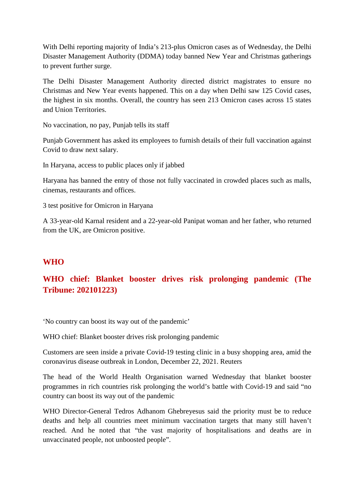With Delhi reporting majority of India's 213-plus Omicron cases as of Wednesday, the Delhi Disaster Management Authority (DDMA) today banned New Year and Christmas gatherings to prevent further surge.

The Delhi Disaster Management Authority directed district magistrates to ensure no Christmas and New Year events happened. This on a day when Delhi saw 125 Covid cases, the highest in six months. Overall, the country has seen 213 Omicron cases across 15 states and Union Territories.

No vaccination, no pay, Punjab tells its staff

Punjab Government has asked its employees to furnish details of their full vaccination against Covid to draw next salary.

In Haryana, access to public places only if jabbed

Haryana has banned the entry of those not fully vaccinated in crowded places such as malls, cinemas, restaurants and offices.

3 test positive for Omicron in Haryana

A 33-year-old Karnal resident and a 22-year-old Panipat woman and her father, who returned from the UK, are Omicron positive.

#### **WHO**

# **WHO chief: Blanket booster drives risk prolonging pandemic (The Tribune: 202101223)**

'No country can boost its way out of the pandemic'

WHO chief: Blanket booster drives risk prolonging pandemic

Customers are seen inside a private Covid-19 testing clinic in a busy shopping area, amid the coronavirus disease outbreak in London, December 22, 2021. Reuters

The head of the World Health Organisation warned Wednesday that blanket booster programmes in rich countries risk prolonging the world's battle with Covid-19 and said "no country can boost its way out of the pandemic

WHO Director-General Tedros Adhanom Ghebreyesus said the priority must be to reduce deaths and help all countries meet minimum vaccination targets that many still haven't reached. And he noted that "the vast majority of hospitalisations and deaths are in unvaccinated people, not unboosted people".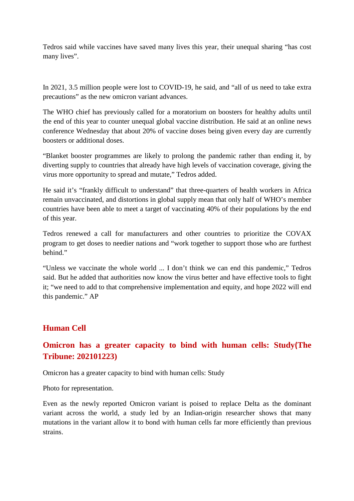Tedros said while vaccines have saved many lives this year, their unequal sharing "has cost many lives".

In 2021, 3.5 million people were lost to COVID-19, he said, and "all of us need to take extra precautions" as the new omicron variant advances.

The WHO chief has previously called for a moratorium on boosters for healthy adults until the end of this year to counter unequal global vaccine distribution. He said at an online news conference Wednesday that about 20% of vaccine doses being given every day are currently boosters or additional doses.

"Blanket booster programmes are likely to prolong the pandemic rather than ending it, by diverting supply to countries that already have high levels of vaccination coverage, giving the virus more opportunity to spread and mutate," Tedros added.

He said it's "frankly difficult to understand" that three-quarters of health workers in Africa remain unvaccinated, and distortions in global supply mean that only half of WHO's member countries have been able to meet a target of vaccinating 40% of their populations by the end of this year.

Tedros renewed a call for manufacturers and other countries to prioritize the COVAX program to get doses to needier nations and "work together to support those who are furthest behind."

"Unless we vaccinate the whole world ... I don't think we can end this pandemic," Tedros said. But he added that authorities now know the virus better and have effective tools to fight it; "we need to add to that comprehensive implementation and equity, and hope 2022 will end this pandemic." AP

#### **Human Cell**

# **Omicron has a greater capacity to bind with human cells: Study(The Tribune: 202101223)**

Omicron has a greater capacity to bind with human cells: Study

Photo for representation.

Even as the newly reported Omicron variant is poised to replace Delta as the dominant variant across the world, a study led by an Indian-origin researcher shows that many mutations in the variant allow it to bond with human cells far more efficiently than previous strains.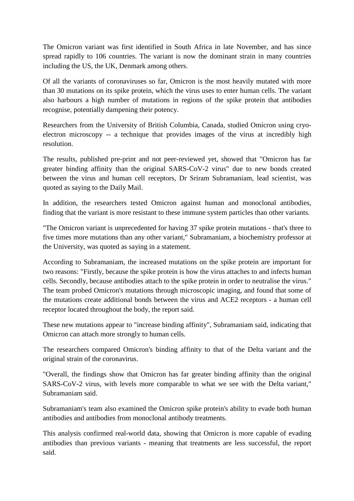The Omicron variant was first identified in South Africa in late November, and has since spread rapidly to 106 countries. The variant is now the dominant strain in many countries including the US, the UK, Denmark among others.

Of all the variants of coronaviruses so far, Omicron is the most heavily mutated with more than 30 mutations on its spike protein, which the virus uses to enter human cells. The variant also harbours a high number of mutations in regions of the spike protein that antibodies recognise, potentially dampening their potency.

Researchers from the University of British Columbia, Canada, studied Omicron using cryoelectron microscopy -- a technique that provides images of the virus at incredibly high resolution.

The results, published pre-print and not peer-reviewed yet, showed that "Omicron has far greater binding affinity than the original SARS-CoV-2 virus" due to new bonds created between the virus and human cell receptors, Dr Sriram Subramaniam, lead scientist, was quoted as saying to the Daily Mail.

In addition, the researchers tested Omicron against human and monoclonal antibodies, finding that the variant is more resistant to these immune system particles than other variants.

"The Omicron variant is unprecedented for having 37 spike protein mutations - that's three to five times more mutations than any other variant," Subramaniam, a biochemistry professor at the University, was quoted as saying in a statement.

According to Subramaniam, the increased mutations on the spike protein are important for two reasons: "Firstly, because the spike protein is how the virus attaches to and infects human cells. Secondly, because antibodies attach to the spike protein in order to neutralise the virus." The team probed Omicron's mutations through microscopic imaging, and found that some of the mutations create additional bonds between the virus and ACE2 receptors - a human cell receptor located throughout the body, the report said.

These new mutations appear to "increase binding affinity", Subramaniam said, indicating that Omicron can attach more strongly to human cells.

The researchers compared Omicron's binding affinity to that of the Delta variant and the original strain of the coronavirus.

"Overall, the findings show that Omicron has far greater binding affinity than the original SARS-CoV-2 virus, with levels more comparable to what we see with the Delta variant," Subramaniam said.

Subramaniam's team also examined the Omicron spike protein's ability to evade both human antibodies and antibodies from monoclonal antibody treatments.

This analysis confirmed real-world data, showing that Omicron is more capable of evading antibodies than previous variants - meaning that treatments are less successful, the report said.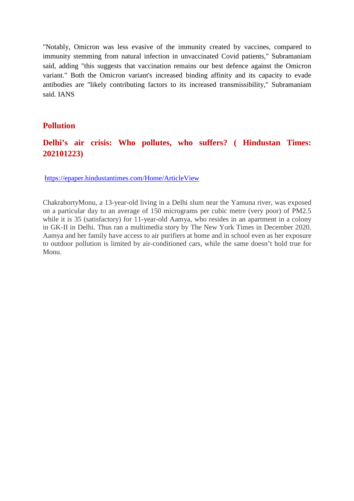"Notably, Omicron was less evasive of the immunity created by vaccines, compared to immunity stemming from natural infection in unvaccinated Covid patients," Subramaniam said, adding "this suggests that vaccination remains our best defence against the Omicron variant." Both the Omicron variant's increased binding affinity and its capacity to evade antibodies are "likely contributing factors to its increased transmissibility," Subramaniam said. IANS

#### **Pollution**

#### **Delhi's air crisis: Who pollutes, who suffers? ( Hindustan Times: 202101223)**

https://epaper.hindustantimes.com/Home/ArticleView

ChakrabortyMonu, a 13-year-old living in a Delhi slum near the Yamuna river, was exposed on a particular day to an average of 150 micrograms per cubic metre (very poor) of PM2.5 while it is 35 (satisfactory) for 11-year-old Aamya, who resides in an apartment in a colony in GK-II in Delhi. Thus ran a multimedia story by The New York Times in December 2020. Aamya and her family have access to air purifiers at home and in school even as her exposure to outdoor pollution is limited by air-conditioned cars, while the same doesn't hold true for Monu.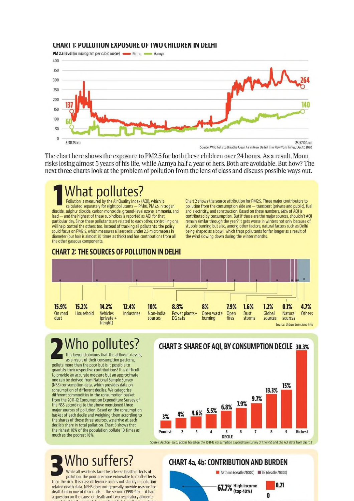#### CHART 1: POLLUTION EXPOSURE OF TWO CHILDREN IN DELHI

PM 2.5 level (in microgram per cubic metre) **CONF MONU CONTROL** Aamya



Source: Who Gets to Breathe Clean Air in New Delhi?, The New York Times, Dec 17, 2020

The chart here shows the exposure to PM2.5 for both these children over 24 hours. As a result, Monu risks losing almost 5 years of his life, while Aamya half a year of hers. Both are avoidable. But how? The next three charts look at the problem of pollution from the lens of class and discuss possible ways out.

# **What pollutes?**

Pollution is measured by the Air Quality Index (AQI), which is calculated separately for eight pollutants - PM10, PM2.5, nitrogen dioxide, sulphur dioxide, carbon monoxide, ground-level ozone, ammonia, and<br>lead — and the highest of these subindices is reported as AQI for that particular day. Since these pollutants are related to each other, controlling one will help control the others too. Instead of tracking all pollutants, the policy could focus on PM2.5, which measures all aerosols under 2.5 micrometers in diameter (our hair is almost 30 times as thick) and has contributions from all the other gaseous components

Chart 2 shows the source attribution for PM2.5. Three major contributors to pollution from the consumption side are — transport (private and public), fuel and electricity, and construction. Based on these numbers, 60% of AQI is contributed by consumption. But if these are the major sources, shouldn't AQI Francisco Constantino in the part of the search in white the state of studies and only because of stubble burning but also, among other factors, natural factors such as Delhi being shaped as a bowl, which traps pollutants for far longer as a result of the wind slowing down during the winter months.



# Who pollutes?

It is beyond obvious that the affluent classes. as a result of their consumption patterns. pollute more than the poor but is it possible to quantify their respective contributions? It is difficult to provide an accurate measure but an approximate one can be derived from National Sample Survey (NSS) consumption data, which provides data on consumption of different deciles. We categorise different commodities in the consumption basket from the 2011-12 Consumption Expenditure Survey of the NSS according to the above mentioned three major sources of pollution. Based on the consumption basket of each decile and weighing them according to the shares of these three sources, we arrive at each decile's share in total pollution. Chart 3 shows that the richest 10% of the population pollute 10 times as much as the poorest 10%

# **CHART 3: SHARE OF AQI, BY CONSUMPTION DECILE 30.3%**



#### **CHART 4a, 4b: CONTRIBUTION AND BURDEN**

**67.7%** High income

Asthma (deaths/1000) TB (deaths/1000)

 $0.21$ 

 $\bf{0}$ 

Who suffers? While all residents face the adverse health effects of pollution, the poor are more vulnerable to its ill-effects than the rich. This class difference comes out starkly in pollution related death data. NFHS does not generally provide reasons for death but in one of its rounds - the second (1998-99) - it had a question on the cause of death and two respiratory ailments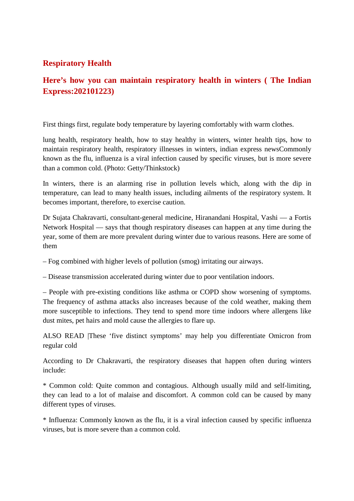#### **Respiratory Health**

# **Here's how you can maintain respiratory health in winters ( The Indian Express:202101223)**

First things first, regulate body temperature by layering comfortably with warm clothes.

lung health, respiratory health, how to stay healthy in winters, winter health tips, how to maintain respiratory health, respiratory illnesses in winters, indian express newsCommonly known as the flu, influenza is a viral infection caused by specific viruses, but is more severe than a common cold. (Photo: Getty/Thinkstock)

In winters, there is an alarming rise in pollution levels which, along with the dip in temperature, can lead to many health issues, including ailments of the respiratory system. It becomes important, therefore, to exercise caution.

Dr Sujata Chakravarti, consultant-general medicine, Hiranandani Hospital, Vashi — a Fortis Network Hospital — says that though respiratory diseases can happen at any time during the year, some of them are more prevalent during winter due to various reasons. Here are some of them

– Fog combined with higher levels of pollution (smog) irritating our airways.

– Disease transmission accelerated during winter due to poor ventilation indoors.

– People with pre-existing conditions like asthma or COPD show worsening of symptoms. The frequency of asthma attacks also increases because of the cold weather, making them more susceptible to infections. They tend to spend more time indoors where allergens like dust mites, pet hairs and mold cause the allergies to flare up.

ALSO READ |These 'five distinct symptoms' may help you differentiate Omicron from regular cold

According to Dr Chakravarti, the respiratory diseases that happen often during winters include:

\* Common cold: Quite common and contagious. Although usually mild and self-limiting, they can lead to a lot of malaise and discomfort. A common cold can be caused by many different types of viruses.

\* Influenza: Commonly known as the flu, it is a viral infection caused by specific influenza viruses, but is more severe than a common cold.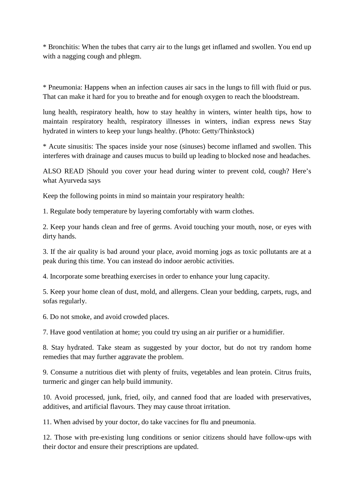\* Bronchitis: When the tubes that carry air to the lungs get inflamed and swollen. You end up with a nagging cough and phlegm.

\* Pneumonia: Happens when an infection causes air sacs in the lungs to fill with fluid or pus. That can make it hard for you to breathe and for enough oxygen to reach the bloodstream.

lung health, respiratory health, how to stay healthy in winters, winter health tips, how to maintain respiratory health, respiratory illnesses in winters, indian express news Stay hydrated in winters to keep your lungs healthy. (Photo: Getty/Thinkstock)

\* Acute sinusitis: The spaces inside your nose (sinuses) become inflamed and swollen. This interferes with drainage and causes mucus to build up leading to blocked nose and headaches.

ALSO READ |Should you cover your head during winter to prevent cold, cough? Here's what Ayurveda says

Keep the following points in mind so maintain your respiratory health:

1. Regulate body temperature by layering comfortably with warm clothes.

2. Keep your hands clean and free of germs. Avoid touching your mouth, nose, or eyes with dirty hands.

3. If the air quality is bad around your place, avoid morning jogs as toxic pollutants are at a peak during this time. You can instead do indoor aerobic activities.

4. Incorporate some breathing exercises in order to enhance your lung capacity.

5. Keep your home clean of dust, mold, and allergens. Clean your bedding, carpets, rugs, and sofas regularly.

6. Do not smoke, and avoid crowded places.

7. Have good ventilation at home; you could try using an air purifier or a humidifier.

8. Stay hydrated. Take steam as suggested by your doctor, but do not try random home remedies that may further aggravate the problem.

9. Consume a nutritious diet with plenty of fruits, vegetables and lean protein. Citrus fruits, turmeric and ginger can help build immunity.

10. Avoid processed, junk, fried, oily, and canned food that are loaded with preservatives, additives, and artificial flavours. They may cause throat irritation.

11. When advised by your doctor, do take vaccines for flu and pneumonia.

12. Those with pre-existing lung conditions or senior citizens should have follow-ups with their doctor and ensure their prescriptions are updated.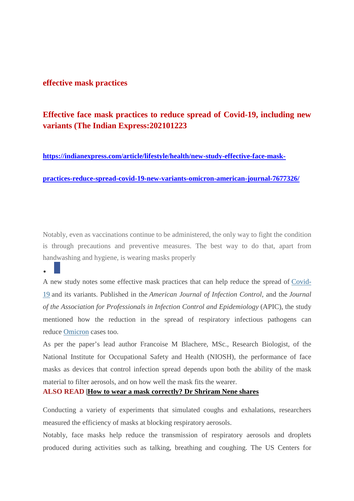#### **effective mask practices**

### **Effective face mask practices to reduce spread of Covid-19, including new variants (The Indian Express:202101223**

#### **https://indianexpress.com/article/lifestyle/health/new-study-effective-face-mask-**

**practices-reduce-spread-covid-19-new-variants-omicron-american-journal-7677326/**

Notably, even as vaccinations continue to be administered, the only way to fight the condition is through precautions and preventive measures. The best way to do that, apart from handwashing and hygiene, is wearing masks properly

 $\bullet$ 

A new study notes some effective mask practices that can help reduce the spread of Covid-19 and its variants. Published in the *American Journal of Infection Control*, and the *Journal of the Association for Professionals in Infection Control and Epidemiology* (APIC), the study mentioned how the reduction in the spread of respiratory infectious pathogens can reduce Omicron cases too.

As per the paper's lead author Francoise M Blachere, MSc., Research Biologist, of the National Institute for Occupational Safety and Health (NIOSH), the performance of face masks as devices that control infection spread depends upon both the ability of the mask material to filter aerosols, and on how well the mask fits the wearer.

#### **ALSO READ |How to wear a mask correctly? Dr Shriram Nene shares**

Conducting a variety of experiments that simulated coughs and exhalations, researchers measured the efficiency of masks at blocking respiratory aerosols.

Notably, face masks help reduce the transmission of respiratory aerosols and droplets produced during activities such as talking, breathing and coughing. The US Centers for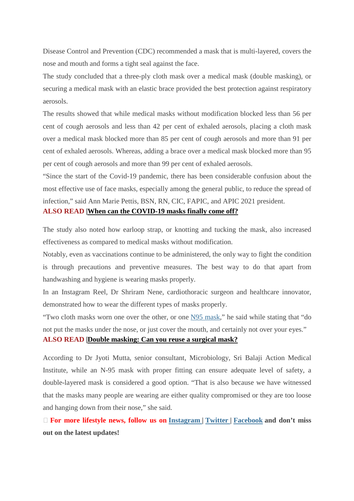Disease Control and Prevention (CDC) recommended a mask that is multi-layered, covers the nose and mouth and forms a tight seal against the face.

The study concluded that a three-ply cloth mask over a medical mask (double masking), or securing a medical mask with an elastic brace provided the best protection against respiratory aerosols.

The results showed that while medical masks without modification blocked less than 56 per cent of cough aerosols and less than 42 per cent of exhaled aerosols, placing a cloth mask over a medical mask blocked more than 85 per cent of cough aerosols and more than 91 per cent of exhaled aerosols. Whereas, adding a brace over a medical mask blocked more than 95 per cent of cough aerosols and more than 99 per cent of exhaled aerosols.

"Since the start of the Covid-19 pandemic, there has been considerable confusion about the most effective use of face masks, especially among the general public, to reduce the spread of infection," said Ann Marie Pettis, BSN, RN, CIC, FAPIC, and APIC 2021 president.

#### **ALSO READ |When can the COVID-19 masks finally come off?**

The study also noted how earloop strap, or knotting and tucking the mask, also increased effectiveness as compared to medical masks without modification.

Notably, even as vaccinations continue to be administered, the only way to fight the condition is through precautions and preventive measures. The best way to do that apart from handwashing and hygiene is wearing masks properly.

In an Instagram Reel, Dr Shriram Nene, cardiothoracic surgeon and healthcare innovator, demonstrated how to wear the different types of masks properly.

"Two cloth masks worn one over the other, or one N95 mask," he said while stating that "do not put the masks under the nose, or just cover the mouth, and certainly not over your eyes." **ALSO READ |Double masking: Can you reuse a surgical mask?**

According to Dr Jyoti Mutta, senior consultant, Microbiology, Sri Balaji Action Medical Institute, while an N-95 mask with proper fitting can ensure adequate level of safety, a double-layered mask is considered a good option. "That is also because we have witnessed that the masks many people are wearing are either quality compromised or they are too loose and hanging down from their nose," she said.

 **For more lifestyle news, follow us on Instagram | Twitter | Facebook and don't miss out on the latest updates!**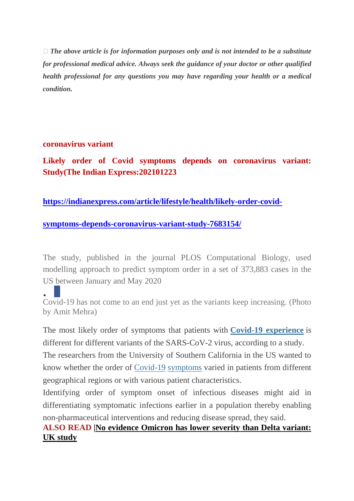*The above article is for information purposes only and is not intended to be a substitute for professional medical advice. Always seek the guidance of your doctor or other qualified health professional for any questions you may have regarding your health or a medical condition.*

#### **coronavirus variant**

**Likely order of Covid symptoms depends on coronavirus variant: Study(The Indian Express:202101223**

### **https://indianexpress.com/article/lifestyle/health/likely-order-covid-**

#### **symptoms-depends-coronavirus-variant-study-7683154/**

The study, published in the journal PLOS Computational Biology, used modelling approach to predict symptom order in a set of 373,883 cases in the US between January and May 2020

 $\bullet$ Covid-19 has not come to an end just yet as the variants keep increasing. (Photo by Amit Mehra)

The most likely order of symptoms that patients with **Covid-19 experience** is different for different variants of the SARS-CoV-2 virus, according to a study.

The researchers from the University of Southern California in the US wanted to know whether the order of Covid-19 symptoms varied in patients from different geographical regions or with various patient characteristics.

Identifying order of symptom onset of infectious diseases might aid in differentiating symptomatic infections earlier in a population thereby enabling non-pharmaceutical interventions and reducing disease spread, they said.

# **ALSO READ |No evidence Omicron has lower severity than Delta variant: UK study**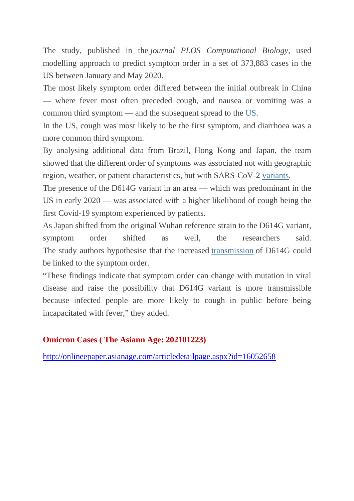The study, published in the *journal PLOS Computational Biology*, used modelling approach to predict symptom order in a set of 373,883 cases in the US between January and May 2020.

The most likely symptom order differed between the initial outbreak in China — where fever most often preceded cough, and nausea or vomiting was a common third symptom — and the subsequent spread to the US.

In the US, cough was most likely to be the first symptom, and diarrhoea was a more common third symptom.

By analysing additional data from Brazil, Hong Kong and Japan, the team showed that the different order of symptoms was associated not with geographic region, weather, or patient characteristics, but with SARS-CoV-2 variants.

The presence of the D614G variant in an area — which was predominant in the US in early 2020 — was associated with a higher likelihood of cough being the first Covid-19 symptom experienced by patients.

As Japan shifted from the original Wuhan reference strain to the D614G variant, symptom order shifted as well, the researchers said. The study authors hypothesise that the increased transmission of D614G could be linked to the symptom order.

"These findings indicate that symptom order can change with mutation in viral disease and raise the possibility that D614G variant is more transmissible because infected people are more likely to cough in public before being incapacitated with fever," they added.

#### **Omicron Cases ( The Asiann Age: 202101223)**

http://onlineepaper.asianage.com/articledetailpage.aspx?id=16052658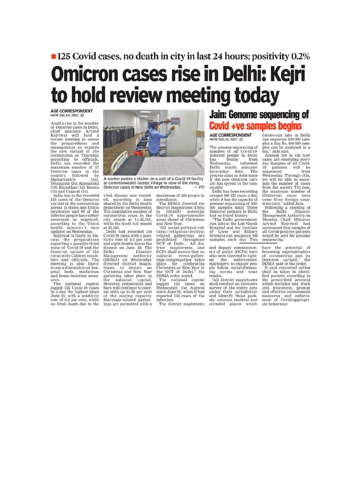# ■ 125 Covid cases, no death in city in last 24 hours; positivity 0.2% Omicron cases rise in Delhi: Kejri to hold review meeting today

# AGE CORRESPONDENT<br>NEW DELHI, DEC. 22

Amid a rise in the number of Omicron cases in Delhi, chief minister Arvind<br>Kejriwal will hold a<br>review meeting to assess preparedness the and management as regards management as regards<br>the new variant of the<br>coronavirus on Thursday,<br>according to officials.<br>Delhi has recorded the<br>maximum number of 57 maximum number of 3r<br>
Omicron cases in the<br>
country, followed by<br>
Maharashtra (54),<br>
Telangana (24), Karnataka<br>
(19), Rajasthan (18), Kerala

(15), Najasukati (16), Kerala<br>(15) and Gujarat (14).<br>India has so far recorded<br>213 cases of the Omicron variant of the coronavirus across 15 states and Union<br>territories and 90 of the<br>infected people have either

infected people have either<br>recovered or migrated,<br>according to the Union<br>health ministry's data<br>updated on Wednesday.<br>Egrival is likely to discuss the preparations<br>regarding a possible third<br>wave of Covid-19 and the<br>Omicr First said officials. The<br>meeting is also likely<br>to see a discussion on hos-<br>pital beds, medicines<br>and home-isolation meas- $\frac{\text{ures}}{\text{The}}$ 

national capital The national capital<br>logged 125 Covid-19 cases<br>in a day, the highest since<br>June 22, with a positivity<br>rate of 0.2 per cent, while<br>no fresh death due to the



A worker pastes a sticker on a wall of a Covid-19 facility at Commonwealth Games Village in view of the rising<br>Omicron cases in New Delhi on Wednesday.  $-PTI$ 

viral disease was recorded, according to data<br>shared by the Delhi health<br>department on Wednesday. The cumulative number of<br>coronavirus cases in the<br>city stands at 14,42,515, while the death toll stands at 25,102.

at 25,102.<br>Delhi had recorded 134<br>Covid-19 cases with a posi-<br>tivity rate of 0.2 per cent and eight deaths due to the disease on June 22. The<br>Delhi Disaster belhi Disaster<br>Management Authority<br>(DDMA) on Wednesday<br>directed district magisdirected using the magnetic range in<br>Christmas and New Year<br>gathering takes place in<br>the national capital.<br>However, restaurants and<br>bars will continue to operbas with up to 50 per cent<br>of the seating capacity.<br>Marriage-related gather-<br>ings are permitted with a maximum of 200 people in attendance The DDMA directed the

The DDMA directed the<br>
district magistrates (DMs)<br>
The DDMA directed the<br>
district magistrates (DMs)<br>
to identify potential<br>
careas ahead of Christmas<br>
and New Year.<br>
"All social/political/cul-<br>
rall social/political/cul-<br>

infection

The district magistrates

# **Jain: Genome sequencing of Covid +ve samples begins**

#### **AGE CORRESPONDENT** NEW DELHI, DEC. 22

The genome sequencing of The genome sequencing of<br>samples of all Covid-19-<br>infected people in Delhi<br>has begun from<br>Wednesday, informed<br>Delhi health minister<br>Satyendar Jain. The<br>process aims to determine<br>if the new Onicron write if the new Omicron variant has spread in the community

Delhi has been recording<br>around 100-125 cases a day, while it has the capacity of<br>genome sequencing of 400-500 samples daily. Three<br>Omicron patients in Delhi<br>had no travel history.

"The Delhi government-<br>run labs at the Lok Nayak Finance at the District<br>of Liver and Biliary<br>Sciences can sequence 100<br>samples each day. Two

and deputy commission-<br>ers of police (DCPs) have<br>also been directed to tighten the enforcement<br>machinery to ensure people follow social-distancing norms and wear<br>masks.

"All district magistrates shall conduct an intensive survey of the entire avea<br>unvey of the entire area<br>under their jurisdiction<br>and identify those pock-<br>ets, colonies markets and<br>crowded places which

Centre-run labs in Delhi can sequence 200-300 samcan sequence 200-500 samples can be analysed in a<br>ples can be analysed in a<br>day," Jain said.<br>Around 100 to 125 new

Around 100 to 125 new<br>cases are emerging every<br>day. Samples of all Covid-<br>19 patients will be<br>sequenced<br>Wednesday. Through this<br>we will be able to ascer-<br>tain the number of cases<br>from the society. Till now, from the society. Till now,<br>the maximum number of<br>(Omicron) cases have<br>come from foreign coun-<br>tries (sic)," added Jain.<br>Following a meeting of<br>the Delhi Disaster<br>Management Authority on<br>Monday Chief Minister

Monday, Chief Minister<br>Arvind Kejriwal had<br>announced that samples of all Covid-positive patients<br>would be sent for genome sequencing.

have the potential of<br>becoming superspreaders<br>of coronavirus and its<br>DIDMA said in the order.<br>IDMA said concerted action<br>It as all conceted action<br>field pockets according to<br>the prescribed protocol

the prescribed protocol<br>which includes test, track and treatment, prompt<br>and effective containment measures and enforce-<br>ment of Covid-appropriate behaviour.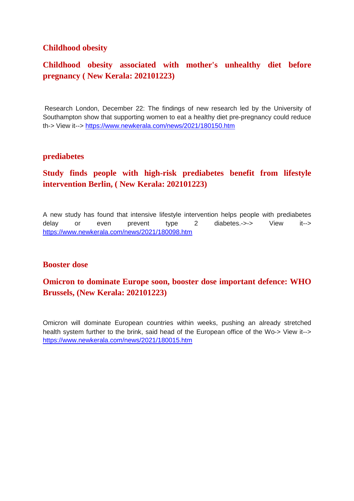#### **Childhood obesity**

# **Childhood obesity associated with mother's unhealthy diet before pregnancy ( New Kerala: 202101223)**

Research London, December 22: The findings of new research led by the University of Southampton show that supporting women to eat a healthy diet pre-pregnancy could reduce th-> View it--> https://www.newkerala.com/news/2021/180150.htm

#### **prediabetes**

## **Study finds people with high-risk prediabetes benefit from lifestyle intervention Berlin, ( New Kerala: 202101223)**

A new study has found that intensive lifestyle intervention helps people with prediabetes delay or even prevent type 2 diabetes.->-> View it--> https://www.newkerala.com/news/2021/180098.htm

#### **Booster dose**

### **Omicron to dominate Europe soon, booster dose important defence: WHO Brussels, (New Kerala: 202101223)**

Omicron will dominate European countries within weeks, pushing an already stretched health system further to the brink, said head of the European office of the Wo-> View it--> https://www.newkerala.com/news/2021/180015.htm